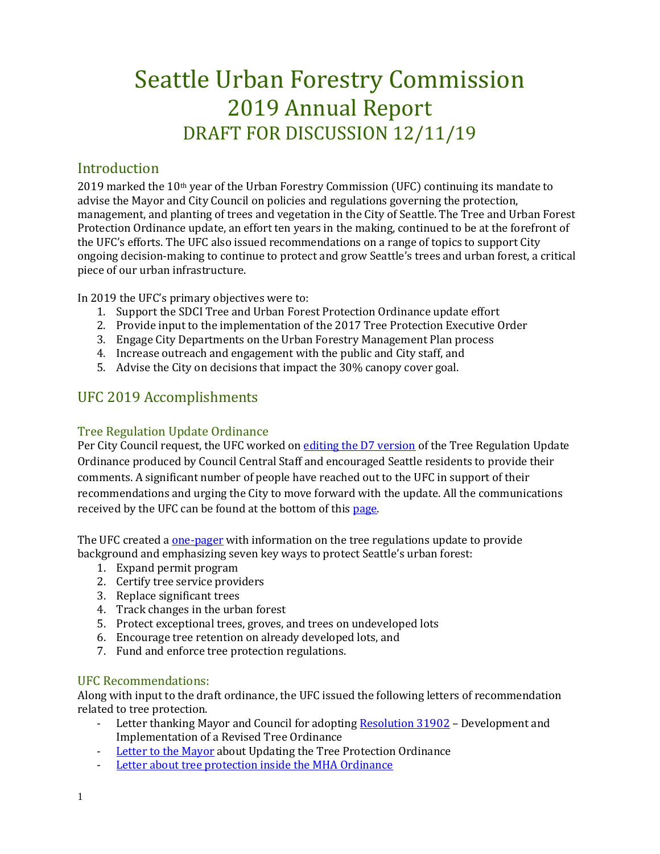# Seattle Urban Forestry Commission 2019 Annual Report DRAFT FOR DISCUSSION 12/11/19

## Introduction

2019 marked the 10<sup>th</sup> year of the Urban Forestry Commission (UFC) continuing its mandate to advise the Mayor and City Council on policies and regulations governing the protection, management, and planting of trees and vegetation in the City of Seattle. The Tree and Urban Forest Protection Ordinance update, an effort ten years in the making, continued to be at the forefront of the UFC's efforts. The UFC also issued recommendations on a range of topics to support City ongoing decision-making to continue to protect and grow Seattle's trees and urban forest, a critical piece of our urban infrastructure.

In 2019 the UFC's primary objectives were to:

- 1. Support the SDCI Tree and Urban Forest Protection Ordinance update effort
- 2. Provide input to the implementation of the 2017 Tree Protection Executive Order
- 3. Engage City Departments on the Urban Forestry Management Plan process
- 4. Increase outreach and engagement with the public and City staff, and
- 5. Advise the City on decisions that impact the 30% canopy cover goal.

# UFC 2019 Accomplishments

#### Tree Regulation Update Ordinance

Per City Council request, the UFC worked on [editing the D7 version](http://www.seattle.gov/Documents/Departments/UrbanForestryCommission/Resources/OutlineandDraftUFCTreeProtectionRegs070219FullDocCorrected.pdf) of the Tree Regulation Update Ordinance produced by Council Central Staff and encouraged Seattle residents to provide their comments. A significant number of people have reached out to the UFC in support of their recommendations and urging the City to move forward with the update. All the communications received by the UFC can be found at the bottom of thi[s page.](http://www.seattle.gov/urbanforestrycommission/resources)

The UFC created a <u>one-pager</u> with information on the tree regulations update to provide background and emphasizing seven key ways to protect Seattle's urban forest:

- 1. Expand permit program
- 2. Certify tree service providers
- 3. Replace significant trees
- 4. Track changes in the urban forest
- 5. Protect exceptional trees, groves, and trees on undeveloped lots
- 6. Encourage tree retention on already developed lots, and
- 7. Fund and enforce tree protection regulations.

#### UFC Recommendations:

Along with input to the draft ordinance, the UFC issued the following letters of recommendation related to tree protection.

- Letter thanking Mayor and Council for adopting [Resolution 31902](http://seattle.legistar.com/ViewReport.ashx?M=R&N=Text&GID=393&ID=3667453&GUID=8D207CD2-96FC-4B02-94AB-7832F169796D&Title=Legislation+Text) Development and Implementation of a Revised Tree Ordinance
- [Letter to the Mayor](http://www.seattle.gov/Documents/Departments/UrbanForestryCommission/FinalIssuedDocuments/Recommendations/ADOPTEDSDCItreeRegsUpdate090419.pdf) about Updating the Tree Protection Ordinance
- [Letter about tree protection inside the MHA Ordinance](http://www.seattle.gov/Documents/Departments/UrbanForestryCommission/FinalIssuedDocuments/Recommendations/ADOPTEDMHAOrdinanceSMC25.11.090Jan2019.pdf)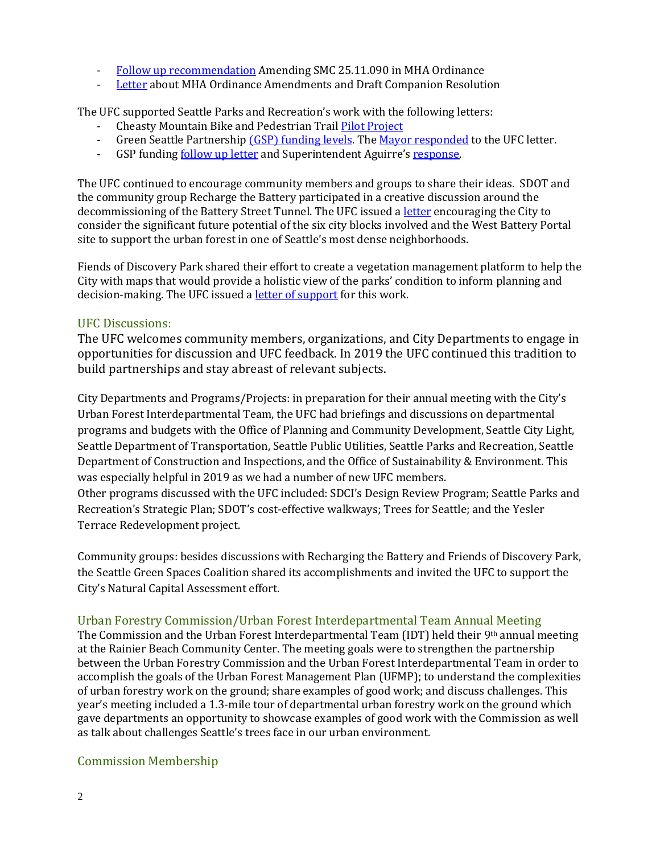- [Follow up recommendation](http://www.seattle.gov/Documents/Departments/UrbanForestryCommission/FinalIssuedDocuments/Recommendations/ADOPTEDMHAFollowUpSMC25.11.090-020619.pdf) Amending SMC 25.11.090 in MHA Ordinance
- [Letter](http://www.seattle.gov/Documents/Departments/UrbanForestryCommission/FinalIssuedDocuments/Recommendations/ADOPTED-MHA-Amendments031319.pdf) about MHA Ordinance Amendments and Draft Companion Resolution

The UFC supported Seattle Parks and Recreation's work with the following letters:

- Cheasty Mountain Bike and Pedestrian Trai[l Pilot Project](http://www.seattle.gov/Documents/Departments/UrbanForestryCommission/FinalIssuedDocuments/Recommendations/ADOPTEDUFCCheastyRecommendation030619.pdf)
- Green Seattle Partnership [\(GSP\) funding levels.](http://www.seattle.gov/Documents/Departments/UrbanForestryCommission/Waht%20we%20do%20-%20Recomms/ADOPTEDGSPfunding100919.pdf) The [Mayor responded](http://www.seattle.gov/Documents/Departments/UrbanForestryCommission/FinalIssuedDocuments/Recommendations/10.18.19UFCgspBudgetLetterMayorResponse.pdf) to the UFC letter.
- GSP funding **follow up letter** and Superintendent Aguirre's [response.](http://www.seattle.gov/Documents/Departments/UrbanForestryCommission/Waht%20we%20do%20-%20Recomms/SPRSuperintendentResponse112519.pdf)

The UFC continued to encourage community members and groups to share their ideas. SDOT and the community group Recharge the Battery participated in a creative discussion around the decommissioning of the Battery Street Tunnel. The UFC issued [a letter](http://www.seattle.gov/Documents/Departments/UrbanForestryCommission/FinalIssuedDocuments/Recommendations/AdoptedBatteryStreetTunnelLetter010919.pdf) encouraging the City to consider the significant future potential of the six city blocks involved and the West Battery Portal site to support the urban forest in one of Seattle's most dense neighborhoods.

Fiends of Discovery Park shared their effort to create a vegetation management platform to help the City with maps that would provide a holistic view of the parks' condition to inform planning and decision-making. The UFC issued [a letter of support](http://www.seattle.gov/Documents/Departments/UrbanForestryCommission/FinalIssuedDocuments/Recommendations/ADOPTEDVMPDiscoveryPark030619.pdf) for this work.

#### UFC Discussions:

The UFC welcomes community members, organizations, and City Departments to engage in opportunities for discussion and UFC feedback. In 2019 the UFC continued this tradition to build partnerships and stay abreast of relevant subjects.

City Departments and Programs/Projects: in preparation for their annual meeting with the City's Urban Forest Interdepartmental Team, the UFC had briefings and discussions on departmental programs and budgets with the Office of Planning and Community Development, Seattle City Light, Seattle Department of Transportation, Seattle Public Utilities, Seattle Parks and Recreation, Seattle Department of Construction and Inspections, and the Office of Sustainability & Environment. This was especially helpful in 2019 as we had a number of new UFC members. Other programs discussed with the UFC included: SDCI's Design Review Program; Seattle Parks and Recreation's Strategic Plan; SDOT's cost-effective walkways; Trees for Seattle; and the Yesler Terrace Redevelopment project.

Community groups: besides discussions with Recharging the Battery and Friends of Discovery Park, the Seattle Green Spaces Coalition shared its accomplishments and invited the UFC to support the City's Natural Capital Assessment effort.

#### Urban Forestry Commission/Urban Forest Interdepartmental Team Annual Meeting

The Commission and the Urban Forest Interdepartmental Team (IDT) held their 9th annual meeting at the Rainier Beach Community Center. The meeting goals were to strengthen the partnership between the Urban Forestry Commission and the Urban Forest Interdepartmental Team in order to accomplish the goals of the Urban Forest Management Plan (UFMP); to understand the complexities of urban forestry work on the ground; share examples of good work; and discuss challenges. This year's meeting included a 1.3-mile tour of departmental urban forestry work on the ground which gave departments an opportunity to showcase examples of good work with the Commission as well as talk about challenges Seattle's trees face in our urban environment.

#### Commission Membership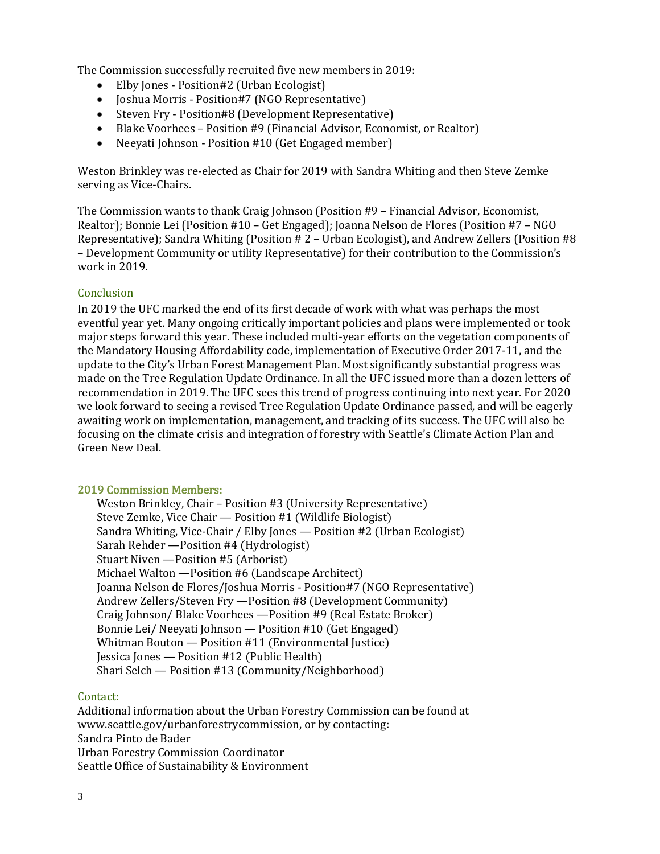The Commission successfully recruited five new members in 2019:

- Elby Jones Position#2 (Urban Ecologist)
- Joshua Morris Position#7 (NGO Representative)
- Steven Fry Position#8 (Development Representative)
- Blake Voorhees Position #9 (Financial Advisor, Economist, or Realtor)<br>• Neevati Johnson Position #10 (Get Engaged member)
- Neeyati Johnson Position #10 (Get Engaged member)

Weston Brinkley was re-elected as Chair for 2019 with Sandra Whiting and then Steve Zemke serving as Vice-Chairs.

The Commission wants to thank Craig Johnson (Position #9 – Financial Advisor, Economist, Realtor); Bonnie Lei (Position #10 – Get Engaged); Joanna Nelson de Flores (Position #7 – NGO Representative); Sandra Whiting (Position # 2 – Urban Ecologist), and Andrew Zellers (Position #8 – Development Community or utility Representative) for their contribution to the Commission's work in 2019.

#### **Conclusion**

In 2019 the UFC marked the end of its first decade of work with what was perhaps the most eventful year yet. Many ongoing critically important policies and plans were implemented or took major steps forward this year. These included multi-year efforts on the vegetation components of the Mandatory Housing Affordability code, implementation of Executive Order 2017-11, and the update to the City's Urban Forest Management Plan. Most significantly substantial progress was made on the Tree Regulation Update Ordinance. In all the UFC issued more than a dozen letters of recommendation in 2019. The UFC sees this trend of progress continuing into next year. For 2020 we look forward to seeing a revised Tree Regulation Update Ordinance passed, and will be eagerly awaiting work on implementation, management, and tracking of its success. The UFC will also be focusing on the climate crisis and integration of forestry with Seattle's Climate Action Plan and Green New Deal.

### 2019 Commission Members:

Weston Brinkley, Chair – Position #3 (University Representative) Steve Zemke, Vice Chair — Position #1 (Wildlife Biologist) Sandra Whiting, Vice-Chair / Elby Jones — Position #2 (Urban Ecologist) Sarah Rehder —Position #4 (Hydrologist) Stuart Niven —Position #5 (Arborist) Michael Walton —Position #6 (Landscape Architect) Joanna Nelson de Flores/Joshua Morris - Position#7 (NGO Representative) Andrew Zellers/Steven Fry —Position #8 (Development Community) Craig Johnson/ Blake Voorhees —Position #9 (Real Estate Broker) Bonnie Lei/ Neeyati Johnson — Position #10 (Get Engaged) Whitman Bouton — Position #11 (Environmental Justice) Jessica Jones — Position #12 (Public Health) Shari Selch — Position #13 (Community/Neighborhood)

#### Contact:

Additional information about the Urban Forestry Commission can be found at www.seattle.gov/urbanforestrycommission, or by contacting: Sandra Pinto de Bader Urban Forestry Commission Coordinator Seattle Office of Sustainability & Environment